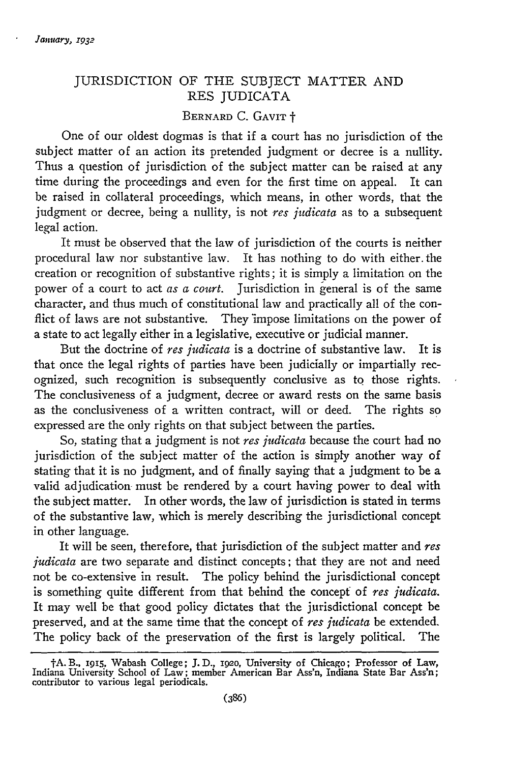## JURISDICTION OF THE SUBJECT MATTER AND RES JUDICATA

## BERNARD C. GAVIT +

One of our oldest dogmas is that if a court has no jurisdiction of the subject matter of an action its pretended judgment or decree is a nullity. Thus a question of jurisdiction of the subject matter can be raised at any time during the proceedings and even for the first time on appeal. It can be raised in collateral proceedings, which means, in other words, that the judgment or decree, being a nullity, is not *res judicata* as to a subsequent legal action.

It must be observed that the law of jurisdiction of the courts is neither procedural law nor substantive law. It has nothing to do with either. the creation or recognition of substantive rights; it is simply a limitation on the power of a court to act *as a court.* Jurisdiction in general is of the same character, and thus much of constitutional law and practically all of the conflict of laws are not substantive. They impose limitations on the power of a state to act legally either in a legislative, executive or judicial manner.

But the doctrine of *res judicata* is a doctrine of substantive law. It is that once the legal rights of parties have been judicially or impartially recognized, such recognition is subsequently conclusive as to those rights. The conclusiveness of a judgment, decree or award rests on the same basis as the conclusiveness of a written contract, will or deed. The rights so expressed are the only rights on that subject between the parties.

So, stating that a judgment is not *res judicata* because the court had no jurisdiction of the subject matter of the action is simply another way of stating that it is no judgment, and of finally saying that a judgment to be a valid adjudication- must be rendered by a court having power to deal with the subject matter. In other words, the law of jurisdiction is stated in terms of the substantive law, which is merely describing the jurisdictional concept in other language.

It will be seen, therefore, that jurisdiction of the subject matter and *res judicata* are two separate and distinct concepts; that they are not and need not be co-extensive in result. The policy behind the jurisdictional concept is something quite different from that behind the concept of *res judicata.* It may well be that good policy dictates that the jurisdictional concept be preserved, and at the same time that the concept of *res judicata* be extended. The policy back of the preservation of the first is largely political. The

tA. B., **1915,** Wabash College; **J. D.,** *ig2o,* University of Chicago; Professor of Law, Indiana University School of Law; member American Bar Ass'n, Indiana State Bar Ass'n; contributor to various legal periodicals.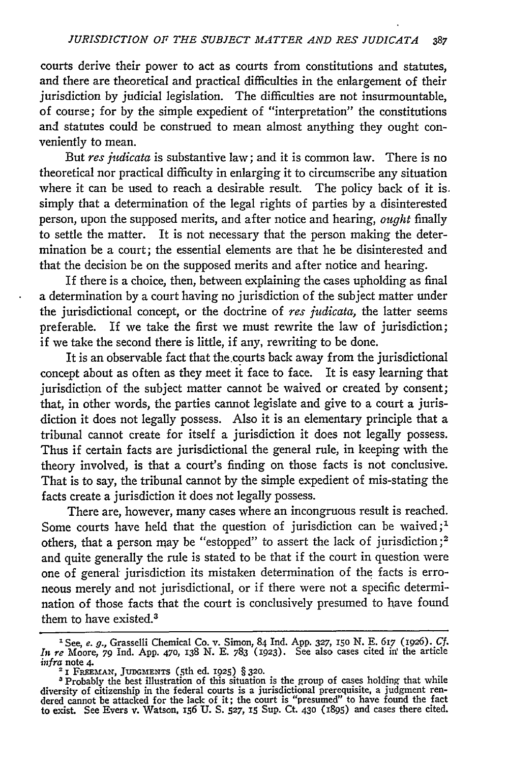courts derive their power to act as courts from constitutions and statutes, and there are theoretical and practical difficulties in the enlargement of their jurisdiction by judicial legislation. The difficulties are not insurmountable, of course; for by the simple expedient of "interpretation" the constitutions and statutes could be construed to mean almost anything they ought conveniently to mean.

But *res judicata* is substantive law; and it is common law. There is no theoretical nor practical difficulty in enlarging it to circumscribe any situation where it can be used to reach a desirable result. The policy back of it is. simply that a determination of the legal rights of parties by a disinterested person, upon the supposed merits, and after notice and hearing, ought finally to settle the matter. It is not necessary that the person making the determination be a court; the essential elements are that he be disinterested and that the decision be on the supposed merits and after notice and hearing.

If there is a choice, then, between explaining the cases upholding as final a determination by a court having no jurisdiction of the subject matter under the jurisdictional concept, or the doctrine of *res judicata,* the latter seems preferable. If we take the first we must rewrite the law of jurisdiction; if we take the second there is little, if any, rewriting to be done.

It is an observable fact that the.courts back away from the jurisdictional concept about as often as they meet it face to face. It is easy learning that jurisdiction of the subject matter cannot be waived or created by consent; that, in other words, the parties cannot legislate and give to a court a jurisdiction it does not legally possess. Also it is an elementary principle that a tribunal cannot create for itself a jurisdiction it does not legally possess. Thus if certain facts are jurisdictional the general rule, in keeping with the theory involved, is that a court's finding on those facts is not conclusive. That is to say, the tribunal cannot by the simple expedient of mis-stating the facts create a jurisdiction it does not legally possess.

There are, however, many cases where an incongruous result is reached. Some courts have held that the question of jurisdiction can be waived;<sup>1</sup> others, that a person may be "estopped" to assert the lack of jurisdiction **;2** and quite generally the rule is stated to be that if the court in question were one of general jurisdiction its mistaken determination of the facts is erroneous merely and not jurisdictional, or if there were not a specific determination of those facts that the court is conclusively presumed to have found them to have existed.<sup>3</sup>

<sup>&</sup>lt;sup>1</sup> See, e. g., Grasselli Chemical Co. v. Simon, 84 Ind. App. 327, 150 N. E. 617 (1926). Cf In re Moore, 79 Ind. App. 470, 138 N. E. 783 (1923). See also cases cited in the article *infra* note 4.

**<sup>2</sup>**1 **FREEMAN, JUDGMENTS** (5th ed. **1925)** § **320.** Probably the best illustration of this situation is the group of cases holding that while diversity of citizenship in the federal courts is a jurisdictional prerequisite, a judgment rendered cannot be attacked for the lack of it; the court is "presumed" to have found the fact to exist. See Evers v. Watson, 156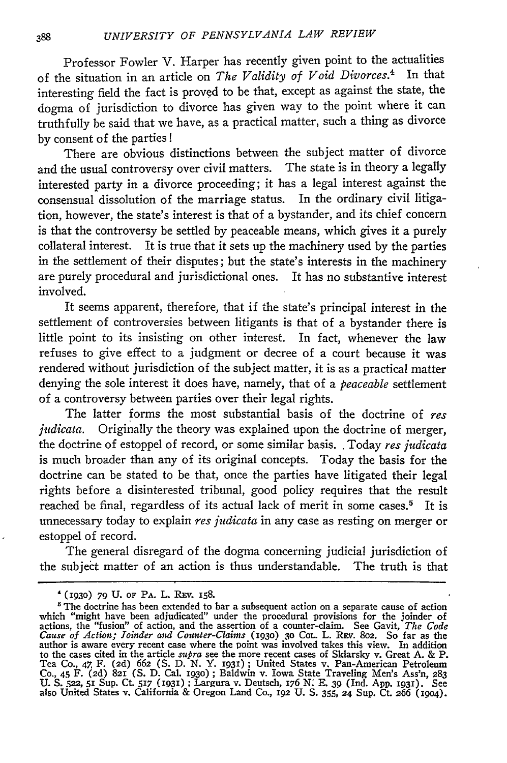Professor Fowler V. Harper has recently given point to the actualities of the situation in an article on *The Validity of Void Divorces.4* In that interesting field the fact is proved to be that, except as against the state, the dogma of jurisdiction to divorce has given way to the point where it can truthfully be said that we have, as a practical matter, such a thing as divorce **by** consent of the parties!

There are obvious distinctions between the subject matter of divorce and the usual controversy over civil matters. The state is in theory a legally interested party in a divorce proceeding; it has a legal interest against the consensual dissolution of the marriage status. In the ordinary civil litigation, however, the state's interest is that of a bystander, and its chief concern is that the controversy be settled **by** peaceable means, which gives it a purely collateral interest. It is true that it sets up the machinery used **by** the parties in the settlement of their disputes; but the state's interests in the machinery are purely procedural and jurisdictional ones. It has no substantive interest involved.

It seems apparent, therefore, that if the state's principal interest in the settlement of controversies between litigants is that of a bystander there is little point to its insisting on other interest. In fact, whenever the law refuses to give effect to a judgment or decree of a court because it was rendered without jurisdiction of the subject matter, it is as a practical matter denying the sole interest it does have, namely, that of a *peaceable* settlement of a controversy between parties over their legal rights.

The latter forms the most substantial basis of the doctrine of *res judicata.* Originally the theory was explained upon the doctrine of merger, the doctrine of estoppel of record, or some similar basis.. Today *res judicata* is much broader than any of its original concepts. Today the basis for the doctrine can be stated to be that, once the parties have litigated their legal rights before a disinterested tribunal, good policy requires that the result reached be final, regardless of its actual lack of merit in some cases.<sup>5</sup> It is unnecessary today to explain *res judicata* in any case as resting on merger or estoppel of record.

The general disregard of the dogma concerning judicial jurisdiction of the subject matter of an action is thus understandable. The truth is that

**<sup>&#</sup>x27;(1930) 79 U.** OF PA. L. **REv.** 158.

 $5$  The doctrine has been extended to bar a subsequent action on a separate cause of action which "might have been adjudicated" under the procedural provisions for the joinder of actions, the "fusion" of action, and the assertion of a counter-claim. See Gavit, The Code Cause of Action; Joinder and Counter-Claims (1930) 30 CoL. L. REV. 802. So far as the author is aware every recent case where the p to the cases cited in the article *supra* see the more recent cases of Sklarsky v. Great A. & P<br>Tea Co., 47 F. (2d) 662 (S. D. N. Y. 1931); United States v. Pan-American Petroleum<br>Co., 45 F. (2d) 821 (S. D. Cal. 1930); Bal also United States v. California & Oregon Land Co., 192 **U. S.** 355, **24** Sup. Ct. 266 (i9o4).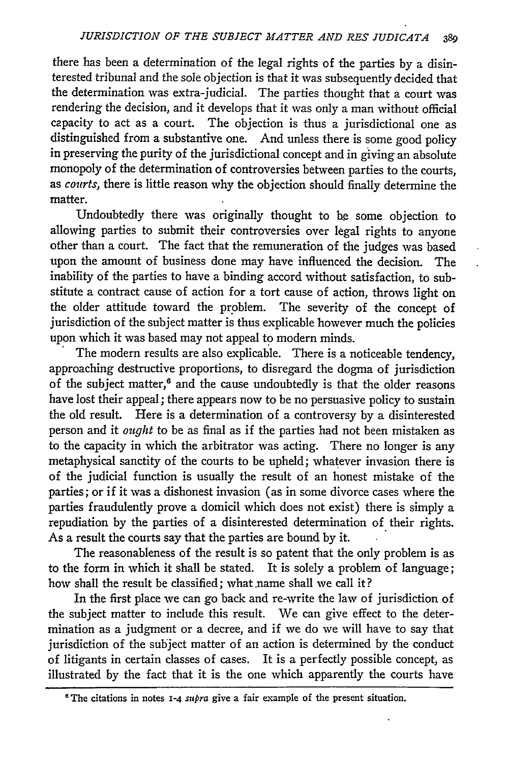there has been a determination of the legal rights of the parties by a disinterested tribunal and the sole objection is that it was subsequently decided that the determination was extra-judicial. The parties thought that a court was rendering the decision, and it develops that it was only a man without official capacity to act as a court. The objection is thus a jurisdictional one as distinguished from a substantive one. And unless there is some good policy in preserving the purity of the jurisdictional concept and in giving an absolute monopoly of the determination of controversies between parties to the courts, as courts, there is little reason why the objection should finally determine the matter.

Undoubtedly there was originally thought to he some objection to allowing parties to submit their controversies over legal rights to anyone other than a court. The fact that the remuneration of the judges was based upon the amount of business done may have influenced the decision. The inability of the parties to have a binding accord without satisfaction, to substitute a contract cause of action for a tort cause of action, throws light on the older attitude toward the problem. The severity of the concept of jurisdiction of the subject matter is thus explicable however much the policies upon which it was based may not appeal to modern minds. The modem results are also explicable. There is a noticeable tendency,

approaching destructive proportions, to disregard the dogma of jurisdiction of the subject matter,<sup>6</sup> and the cause undoubtedly is that the older reasons have lost their appeal; there appears now to be no persuasive policy to sustain the old result. Here is a determination of a controversy by a disinterested person and it *ought* to be as final as if the parties had not been mistaken as to the capacity in which the arbitrator was acting. There no longer is any metaphysical sanctity of the courts to be upheld; whatever invasion there is of the judicial function is usually the result of an honest mistake of the parties; or if it was a dishonest invasion (as in some divorce cases where the parties fraudulently prove a domicil which does not exist) there is simply a repudiation by the parties of a disinterested determination of their rights. As a result the courts say that the parties are bound by it.

The reasonableness of the result is so patent that the only problem is as to the form in which it shall be stated. It is solely a problem of language; how shall the result be classified; what name shall we call it?

In the first place we can go back and re-write the law of jurisdiction of the subject matter to include this result. We can give effect to the determination as a judgment or a decree, and if we do we will have to say that jurisdiction of the subject matter of an action is determined by the conduct of litigants in certain classes of cases. It is a perfectly possible concept, as illustrated by the fact that it is the one which apparently the courts have

<sup>&</sup>lt;sup>6</sup> The citations in notes 1-4 *supra* give a fair example of the present situation.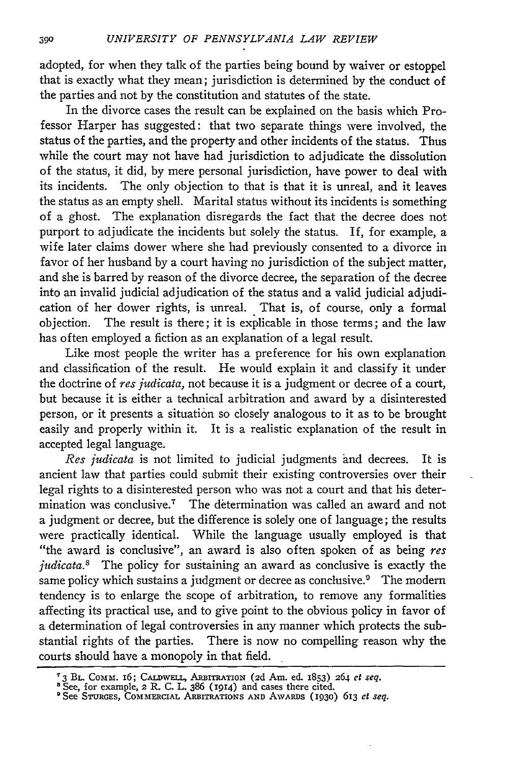adopted, for when they talk of the parties being bound by waiver or estoppel that is exactly what they mean; jurisdiction is determined **by** the conduct of the parties and not **by** the constitution and statutes of the state.

In the divorce cases the result can be explained on the basis which Professor Harper has suggested: that two separate things were involved, the status of the parties, and the property and other incidents of the status. Thus while the court may not have had jurisdiction to adjudicate the dissolution of the status, it did, **by** mere personal jurisdiction, have power to deal with its incidents. The only objection to that is that it is unreal, and it leaves the status as an empty shell. Marital status without its incidents is something of a ghost. The explanation disregards the fact that the decree does not purport to adjudicate the incidents but solely the status. If, for example, a wife later claims dower where she had previously consented to a divorce in favor of her husband by a court having no jurisdiction of the subject matter, and she is barred by reason of the divorce decree, the separation of the decree into an invalid judicial adjudication of the status and a valid judicial adjudication of her dower rights, is unreal. That is, of course, only a formal objection. The result is there; it is explicable in those terms; and the law has often employed a fiction as an explanation of a legal result.

Like most people the writer has a preference for his own explanation and classification of the result. He would explain it and classify it under the doctrine of *res judicata,* not because it is a judgment or decree of a court, but because it is either a technical arbitration and award by a disinterested person, or it presents a situation so closely analogous to it as to be brought easily and properly within it. It is a realistic explanation of the result in accepted legal language.

*Res judicata* is not limited to judicial judgments and decrees. It is ancient law that parties could submit their existing controversies over their legal rights to a disinterested person who was not a court and that his determination was conclusive." The determination was called an award and not a judgment or decree, but the difference is solely one of language; the results were practically identical. While the language usually employed is that "the award is conclusive", an award is also often spoken of as being *res judicata.8* The policy for sustaining an award as conclusive is exactly the same policy which sustains a judgment or decree as conclusive.<sup>9</sup> The modern tendency is to enlarge the scope of arbitration, to remove any formalities affecting its practical use, and to give point to the obvious policy in favor of a determination of legal controversies in any manner which protects the substantial rights of the parties. There is now no compelling reason why the courts should have a monopoly in that field.

**<sup>13</sup> BL.** Commd. 16; **CALD WEL,** ARBITRATION **(2d Am. ed.** 1853) 264 *et seq.* **<sup>8</sup>**See, **for** example, 2 **R. C. L. 386 (1914)** and cases there cited.

<sup>9</sup> See **STURGES,** COMIMERcIAL ARBITRATIONS **AND AWARDS (i930)** 613 *et seq.*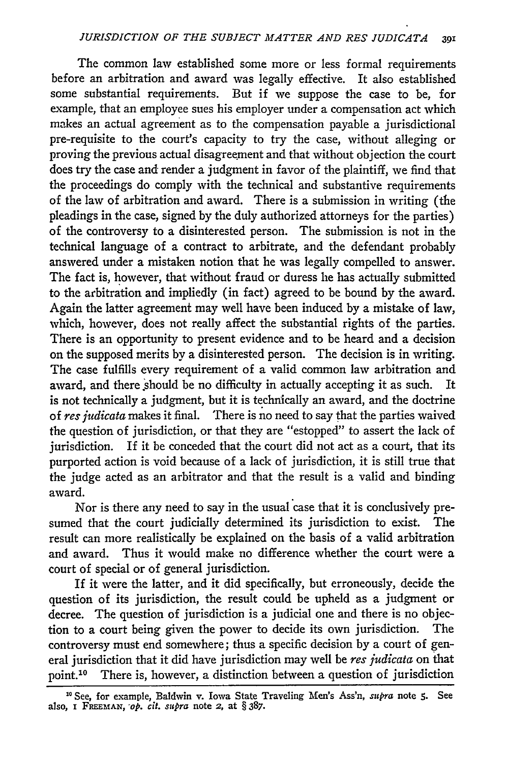The common law established some more or less formal requirements before an arbitration and award was legally effective. It also established some substantial requirements. But if we suppose the case to be, for example, that an employee sues his employer under a compensation act which makes an actual agreement as to the compensation payable a jurisdictional pre-requisite to the court's capacity to try the case, without alleging or proving the previous actual disagreement and that without objection the court does try the case and render a judgment in favor of the plaintiff, we find that the proceedings do comply with the technical and substantive requirements of the law of arbitration and award. There is a submission in writing (the pleadings in the case, signed by the duly authorized attorneys for the parties) of the controversy to a disinterested person. The submission is not in the technical language of a contract to arbitrate, and the defendant probably answered under a mistaken notion that he was legally compelled to answer. The fact is, however, that without fraud or duress he has actually submitted to the arbitration and impliedly (in fact) agreed to be bound by the award. Again the latter agreement may well have been induced by a mistake of law, which, however, does not really affect the substantial rights of the parties. There is an opportunity to present evidence and to be heard and a decision on the supposed merits by a disinterested person. The decision is in writing. The case fulfills every requirement of a valid common law arbitration and award, and there should be no difficulty in actually accepting it as such. It is not technically a judgment, but it is technically an award, and the doctrine of *res judicata* makes it final. There is no need to say that the parties waived the question of jurisdiction, or that they are "estopped" to assert the lack of jurisdiction. If it be conceded that the court did not act as a court, that its purported action is void because of a lack of jurisdiction, it is still true that the judge acted as an arbitrator and that the result is a valid and binding award.

Nor is there any need to say in the usual case that it is conclusively presumed that the court judicially determined its jurisdiction to exist. The result can more realistically be explained on the basis of a valid arbitration and award. Thus it would make no difference whether the court were a court of special or of general jurisdiction.

If it were the latter, and it did specifically, but erroneously, decide the question of its jurisdiction, the result could be upheld as a judgment or decree. The question of jurisdiction is a judicial one and there is no objection to a court being given the power to decide its own jurisdiction. The controversy must end somewhere; thus a specific decision by a court of general jurisdiction that it did have jurisdiction may well be *res judicata* on that point.<sup>10</sup> There is, however, a distinction between a question of jurisdiction

**<sup>10</sup>** See, for example, Baldwin v. Iowa State Traveling Men's Ass'n, *supra* note **5.** See also, **i** FREEMAN, *op. cit. supra* note **2,** at § **387.**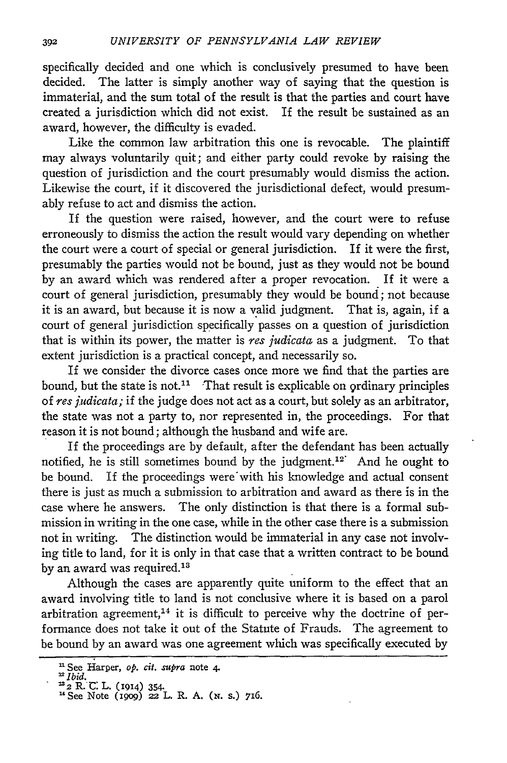specifically decided and one which is conclusively presumed to have been decided. The latter is simply another way of saying that the question is immaterial, and the sum total of the result is that the parties and court have created a jurisdiction which did not exist. If the result be sustained as an award, however, the difficulty is evaded.

Like the common law arbitration this one is revocable. The plaintiff may always voluntarily quit; and either party could revoke **by** raising the question of jurisdiction and the court presumably would dismiss the action. Likewise the court, if it discovered the jurisdictional defect, would presumably refuse to act and dismiss the action.

If the question were raised, however, and the court were to refuse erroneously to dismiss the action the result would vary depending on whether the court were a court of special or general jurisdiction. If it were the first, presumably the parties would not be bound, just as they would not be bound **by** an award which was rendered after a proper revocation. If it were a court of general jurisdiction, presumably they would be bound; not because it is an award, but because it is now a valid judgment. That is, again, if a court of general jurisdiction specifically passes on a question of jurisdiction that is within its power, the matter is *res judicata* as a judgment. To that extent jurisdiction is a practical concept, and necessarily so.

If we consider the divorce cases once more we find that the parties are bound, but the state is not.<sup>11</sup> That result is explicable on ordinary principles of *res judicata;* if the judge does not act as a court, but solely as an arbitrator, the state was not a party to, nor represented in, the proceedings. For that reason it is not bound; although the husband and wife are.

If the proceedings are **by** default, after the defendant has been actually notified, he is still sometimes bound **by** the judgment.12 And he ought to be bound. **If** the proceedings were'with his knowledge and actual consent there is just as much a submission to arbitration and award as there is in the case where he answers. The only distinction is that there is a formal submission in writing in the one case, while in the other case there is a submission not in writing. The distinction would be immaterial in any case not involving title to land, for it is only in that case that a written contract to be bound by an award was required.<sup>13</sup>

Although the cases are apparently quite uniform to the effect that an award involving title to land is not conclusive where it is based on a parol arbitration agreement,<sup>14</sup> it is difficult to perceive why the doctrine of performance does not take it out of the Statute of Frauds. The agreement to be bound **by** an award was one agreement which was specifically executed **by**

<sup>&</sup>quot;See Harper, **op.** *cit. supra* note **4.**

*<sup>&</sup>quot;Ibid.*

**<sup>2</sup>RN: L.** (i914) 354. 'See Note (19o9) *22* **L.** *R.* **A.** (x. **s.) 716.**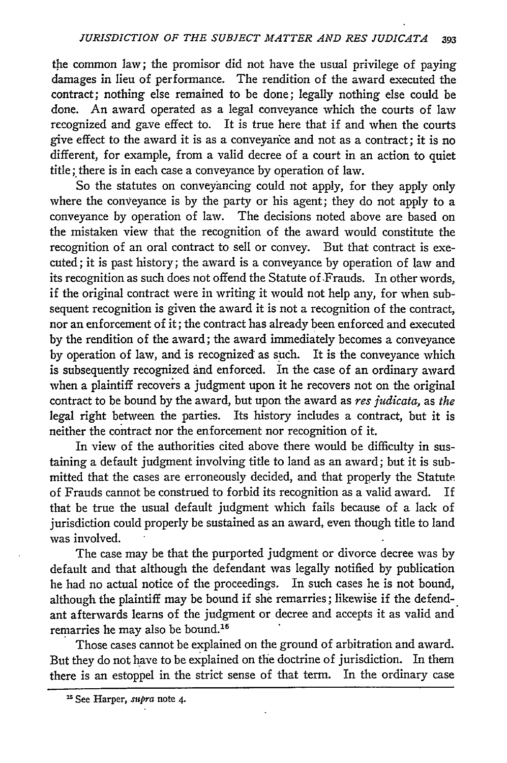the common law; the promisor did not have the usual privilege of paying damages in lieu of performance. The rendition of the award executed the contract; nothing else remained to be done; legally nothing else could be done. An award operated as a legal conveyance which the courts of law recognized and gave effect to. It is true here that if and when the courts give effect to the award it is as a conveyance and not as a contract; it is no different, for example, from a valid decree of a court in an action to quiet title; there is in each case a conveyance by operation of law.

So the statutes on conveyancing could not apply, for they apply only where the conveyance is by the party or his agent; they do not apply to a conveyance by operation of law. The decisions noted above are based on the mistaken view that the recognition of the award would constitute the recognition of an oral contract to sell or convey. But that contract is executed; it is past history; the award is a conveyance by operation of law and its recognition as such does not offend the Statute of .Frauds. In other words, if the original contract were in writing it would not help any, for when subsequent recognition is given the award it is not a recognition of the contract, nor an enforcement of it; the contract has already been enforced and executed by the rendition of the award; the award immediately becomes a conveyance by operation of law, and is recognized as such. It is the conveyance which is subsequently recognized **and** enforced. In the case of an ordinary award when a plaintiff recovers a judgment upon it he recovers not on the original contract to be bound by the award, but upon the award as *res judicata,* as *the* legal right between the parties. Its history includes a contract, but it is neither the contract nor the enforcement nor recognition of it.

In view of the authorities cited above there would be difficulty in sustaining a default judgment involving title to land as an award; but it is submitted that the cases are erroneously decided, and that properly the Statute of Frauds cannot be construed to forbid its recognition as a valid award. If that be true the usual default judgment which fails because of a lack of jurisdiction could properly be sustained as an award, even though title to land was involved.

The case may be that the purported judgment or divorce decree was by default and that although the defendant was legally notified by publication he had no actual notice of the proceedings. In such cases he is not bound, although the plaintiff may be bound if she remarries; likewise if the defendant afterwards learns of the judgment or decree and accepts it as valid and remarries he may also be bound.<sup>1</sup>

Those cases cannot be explained on the ground of arbitration and award. But they do not have to be explained on the doctrine of jurisdiction. In them there is an estoppel in the strict sense of that term. In the ordinary case

<sup>&</sup>lt;sup>15</sup> See Harper, supra note 4.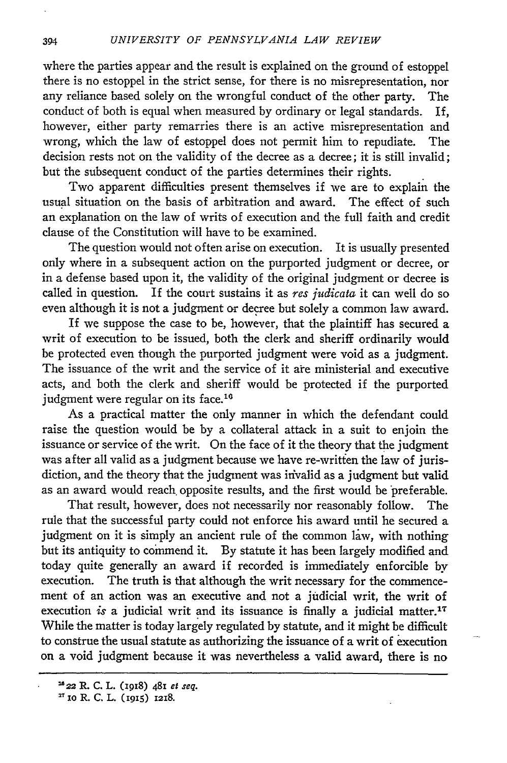where the parties appear and the result is explained on the ground of estoppel there is no estoppel in the strict sense, for there is no misrepresentation, nor any reliance based solely on the wrongful conduct of the other party. The conduct of both is equal when measured by ordinary or legal standards. If, however, either party remarries there is an active misrepresentation and wrong, which the law of estoppel does not permit him to repudiate. The decision rests not on the validity of the decree as a decree; it is still invalid; but the subsequent conduct of the parties determines their rights.

Two apparent difficulties present themselves if we are to explain the usual situation on the basis of arbitration and award. The effect of such an explanation on the law of writs of execution and the full faith and credit clause of the Constitution will have to be examined.

The question would not often arise on execution. It is usually presented only where in a subsequent action on the purported judgment or decree, or in a defense based upon it, the validity of the original judgment or decree is called in question. If the court sustains it as *res judicata* it can well do so even although it is not a judgment or decree but solely a common law award.

If we suppose the case to be, however, that the plaintiff has secured a writ of execution to be issued, both the clerk and sheriff ordinarily would be protected even though the purported judgment were void as a judgment. The issuance of the writ and the service of it are ministerial and executive acts, and both the clerk and sheriff would be protected if the purported judgment were regular on its face.<sup>1</sup>

As a practical matter the only manner in which the defendant could raise the question would be by a collateral attack in a suit to enjoin the issuance or service of the writ. On the face of it the theory that the judgment was after all valid as a judgment because we have re-writfen the law of jurisdiction, and the theory that the judgment was invalid as a judgment but valid as an award would reach opposite results, and the first would be preferable.

That result, however, does not necessarily nor reasonably follow. The rule that the successful party could not enforce his award until he secured a judgment on it is simply an ancient rule of the common law, with nothing but its antiquity to commend it. By statute it has been largely modified and today quite generally an award if recorded is immediately enforcible by execution. The truth is that although the writ necessary for the commencement of an action was an executive and not a judicial writ, the writ of execution *is* a judicial writ and its issuance is finally a judicial matter.<sup>17</sup> While the matter is today largely regulated by statute, and it might be difficult to construe the usual statute as authorizing the issuance of a writ of execution on a void judgment because it was nevertheless a valid award, there is no

<sup>222</sup> R. **C. L.** (i918) **481** *ef seq.*

**<sup>2&</sup>quot;** io **R. C. L. (I9,5)** 1218.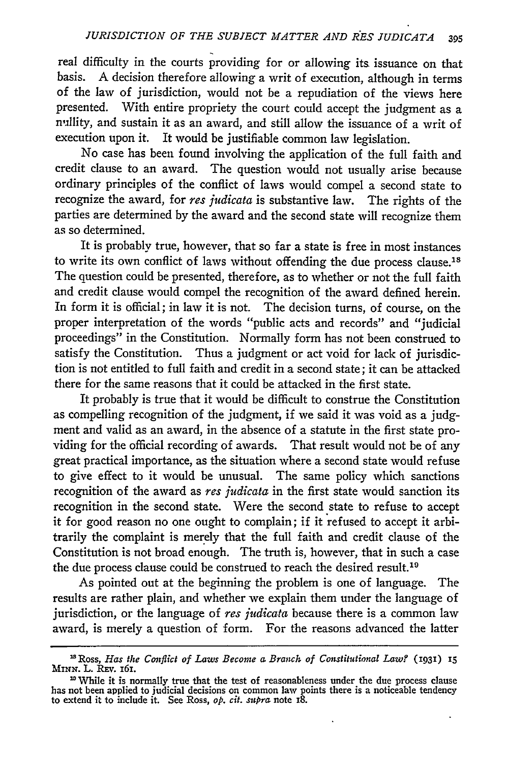real difficulty in the courts providing for or allowing its issuance on that basis. A decision therefore allowing a writ of execution, although in terms of the law of jurisdiction, would not be a repudiation of the views here presented. With entire propriety the court could accept the judgment as a nullity, and sustain it as an award, and still allow the issuance of a writ of execution upon it. It would be justifiable common law legislation.

No case has been found involving the application of the full faith and credit clause to an award. The question would not usually arise because ordinary principles of the conflict of laws would compel a second state to recognize the award, for *res judicata* is substantive law. The rights of the parties are determined by the award and the second state will recognize them as so determined.

It is probably true, however, that so far a state is free in most instances to write its own conflict of laws without offending the due process clause.<sup>18</sup> The question could be presented, therefore, as to whether or not the full faith and credit clause would compel the recognition of the award defined herein. In form it is official; in law it is not. The decision turns, of course, on the proper interpretation of the words "public acts and records" and "judicial proceedings" in the Constitution. Normally form has not been construed to satisfy the Constitution. Thus a judgment or act void for lack of jurisdiction is not entitled to full faith and credit in a second state; it can be attacked there for the same reasons that it could be attacked in the first state.

It probably is true that it would be difficult to construe the Constitution as compelling recognition of the judgment, if we said it was void as a judgment and valid as an award, in the absence of a statute in the first state providing for the official recording of awards. That result would not be of any great practical importance, as the situation where a second state would refuse to give effect to it would be unusual. The same policy which sanctions recognition of the award as *res judicata* in the first state would sanction its recognition in the second state. Were the second state to refuse to accept it for good reason no one ought to complain; if it refused to accept it arbitrarily the complaint is merely that the full faith and credit clause of the Constitution is not broad enough. The truth is, however, that in such a case the due process clause could be construed to reach the desired result.<sup>19</sup>

As pointed out at the beginning the problem is one of language. The results are rather plain, and whether we explain them under the language of jurisdiction, or the language of *res judicata* because there is a common law award, is merely a question of form. For the reasons advanced the latter

<sup>&</sup>lt;sup>18</sup> Ross, *Has the Conflict of Laws Become a Branch of Constitutional Law?* (1931) 15 MINN. L. Rev. 161. **MiNN.** L. Rxv. i6I. **'"** While it is normally true that the test of reasonableness under the due process clause

has not been applied to judicial decisions on common law points there is a noticeable tendency to extend it to include it. See Ross, *op. cit. supra* note 18.